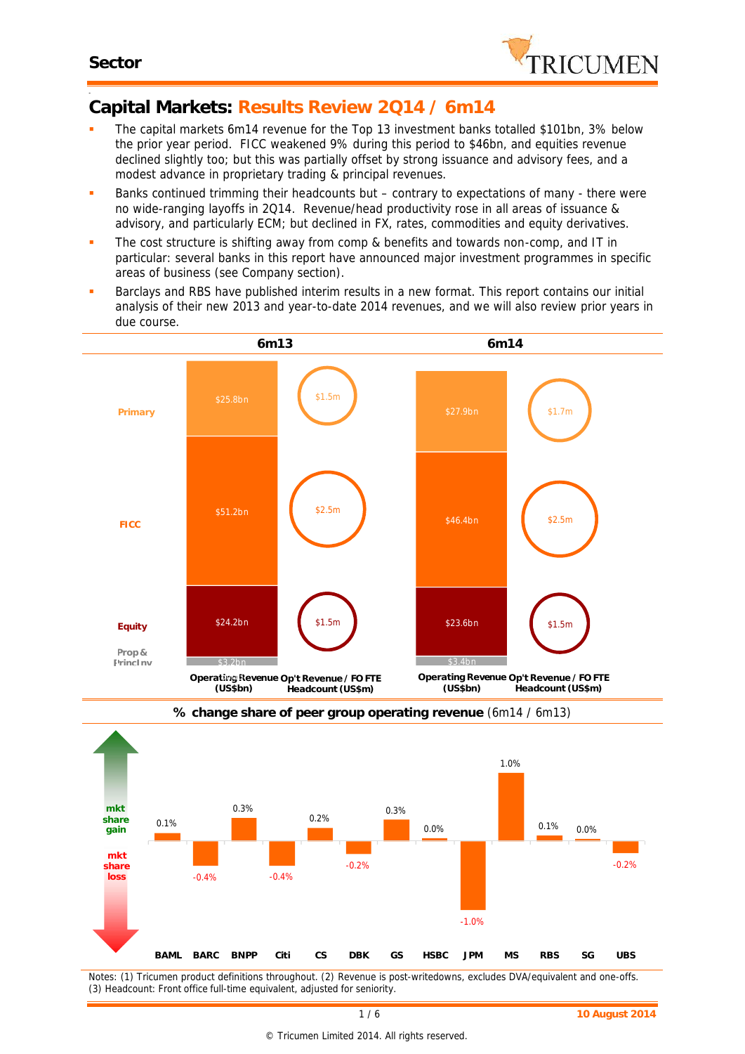

#### -**Capital Markets: Results Review 2Q14 / 6m14**

- The capital markets 6m14 revenue for the Top 13 investment banks totalled \$101bn, 3% below the prior year period. FICC weakened 9% during this period to \$46bn, and equities revenue declined slightly too; but this was partially offset by strong issuance and advisory fees, and a modest advance in proprietary trading & principal revenues.
- Banks continued trimming their headcounts but contrary to expectations of many there were no wide-ranging layoffs in 2Q14. Revenue/head productivity rose in all areas of issuance & advisory, and particularly ECM; but declined in FX, rates, commodities and equity derivatives.
- The cost structure is shifting away from comp & benefits and towards non-comp, and IT in particular: several banks in this report have announced major investment programmes in specific areas of business (see Company section).
- Barclays and RBS have published interim results in a new format. This report contains our initial analysis of their new 2013 and year-to-date 2014 revenues, and we will also review prior years in 3.5 due course.





**% change share of peer group operating revenue** (6m14 / 6m13)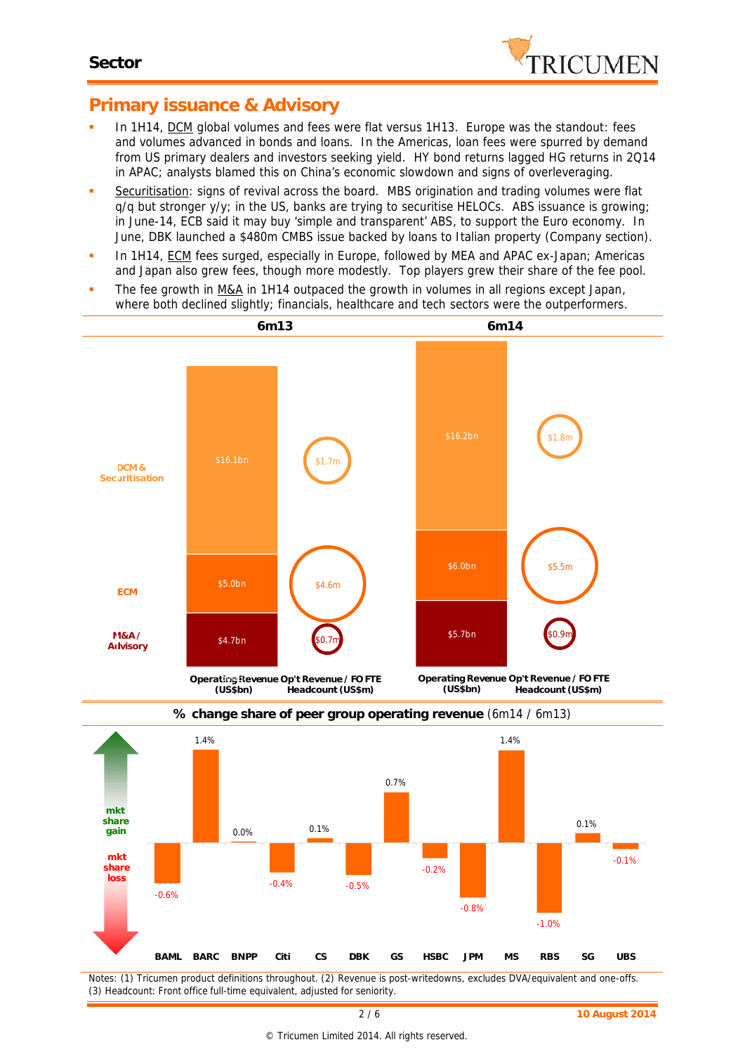

## **Primary issuance & Advisory**

- In 1H14, DCM global volumes and fees were flat versus 1H13. Europe was the standout: fees and volumes advanced in bonds *and* loans. In the Americas, loan fees were spurred by demand from US primary dealers and investors seeking yield. HY bond returns lagged HG returns in 2Q14 in APAC; analysts blamed this on China's economic slowdown and signs of overleveraging.
- **Securitisation:** signs of revival across the board. MBS origination and trading volumes were flat q/q but stronger y/y; in the US, banks are trying to securitise HELOCs. ABS issuance is growing; in June-14, ECB said it may buy 'simple and transparent' ABS, to support the Euro economy. In June, DBK launched a \$480m CMBS issue backed by loans to Italian property (Company section).
- In 1H14, ECM fees surged, especially in Europe, followed by MEA and APAC ex-Japan; Americas and Japan also grew fees, though more modestly. Top players grew their share of the fee pool.
- The fee growth in M&A in 1H14 outpaced the growth in volumes in all regions except Japan, where both declined slightly; financials, healthcare and tech sectors were the outperformers.





**% change share of peer group operating revenue** (6m14 / 6m13)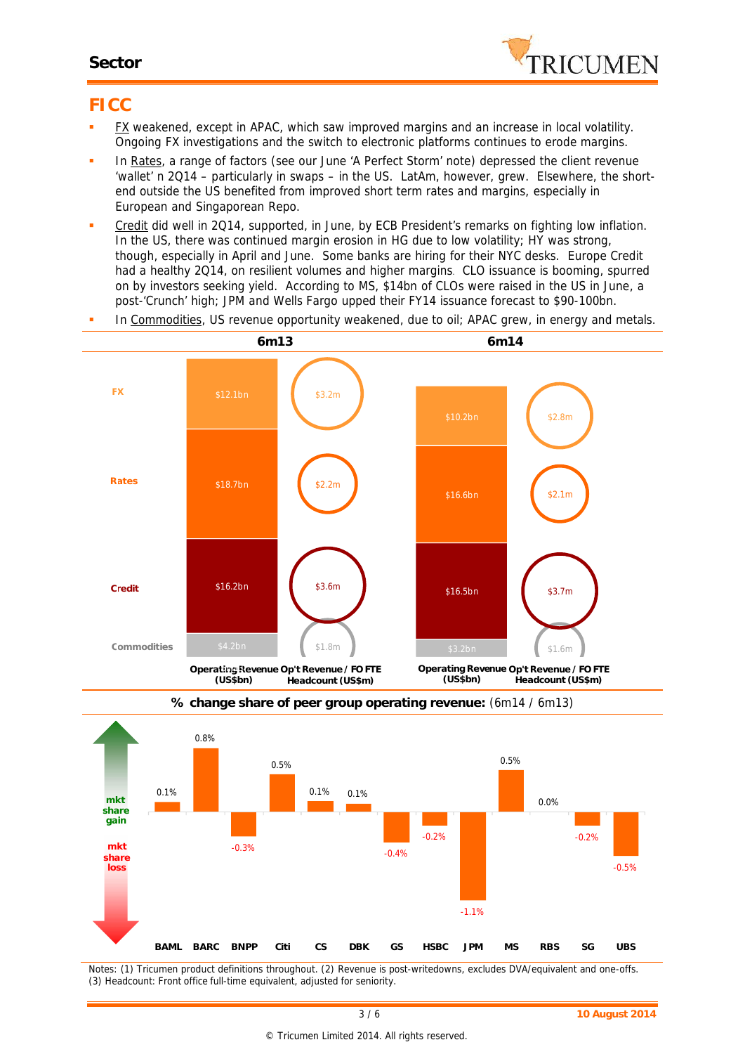### **Sector**



## **FICC**

- FX weakened, except in APAC, which saw improved margins and an increase in local volatility. Ongoing FX investigations and the switch to electronic platforms continues to erode margins.
- In Rates, a range of factors (see our June 'A Perfect Storm' note) depressed the client revenue 'wallet' n 2Q14 – particularly in swaps – in the US. LatAm, however, grew. Elsewhere, the short end outside the US benefited from improved short term rates and margins, especially in European and Singaporean Repo.
- Credit did well in 2Q14, supported, in June, by ECB President's remarks on fighting low inflation. In the US, there was continued margin erosion in HG due to low volatility; HY was strong, though, especially in April and June. Some banks are hiring for their NYC desks. Europe Credit had a healthy 2Q14, on resilient volumes and higher margins. CLO issuance is booming, spurred on by investors seeking yield. According to MS, \$14bn of CLOs were raised in the US in June, a post-'Crunch' high; JPM and Wells Fargo upped their FY14 issuance forecast to \$90-100bn.
- In Commodities, US revenue opportunity weakened, due to oil; APAC grew, in energy *and* metals.





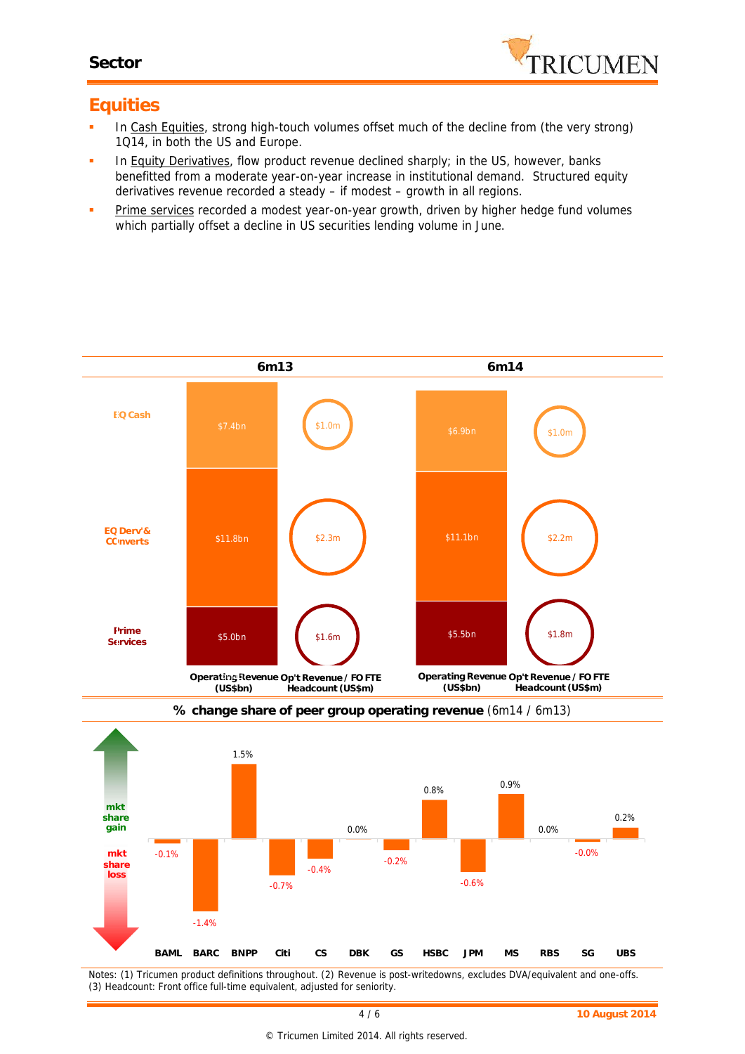

## **Equities**

- In Cash Equities, strong high-touch volumes offset much of the decline from (the very strong) 1Q14, in both the US and Europe.
- In Equity Derivatives, flow product revenue declined sharply; in the US, however, banks benefitted from a moderate year-on-year increase in institutional demand. Structured equity derivatives revenue recorded a steady – if modest – growth in all regions.
- **Prime services recorded a modest year-on-year growth, driven by higher hedge fund volumes** which partially offset a decline in US securities lending volume in June.

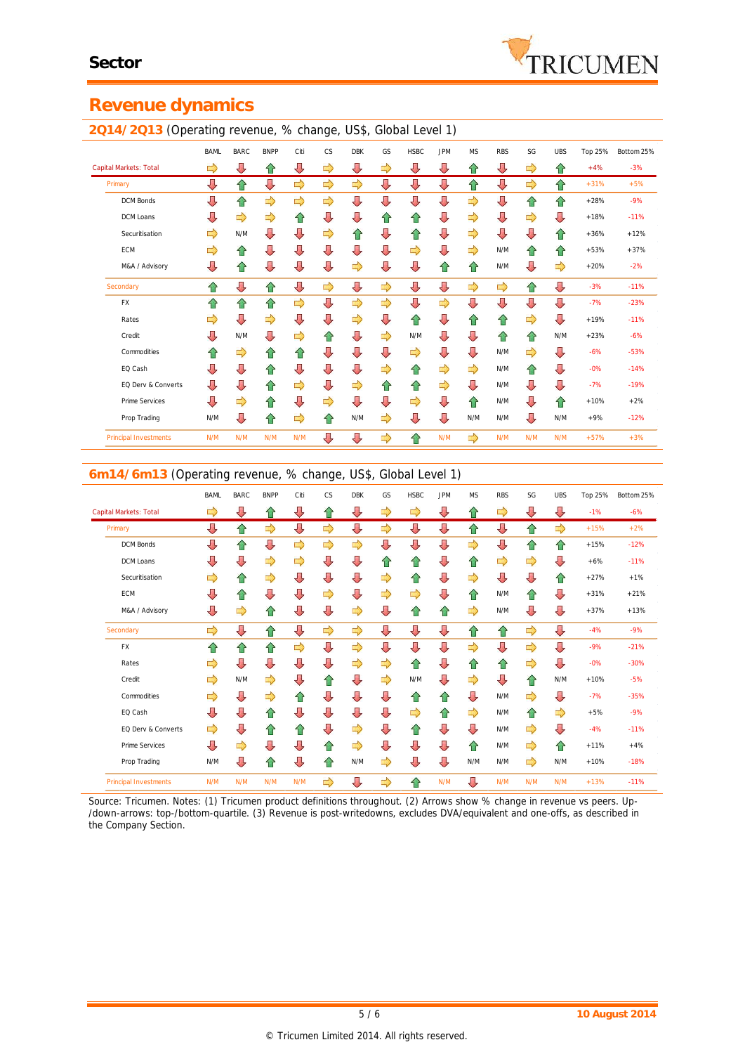

# **Revenue dynamics**

### **2Q14/2Q13** (Operating revenue, % change, US\$, Global Level 1) BAML BARC BNPP Citi CS DBK GS HSBC JPM MS RBS SG UBS Top 25% Bottom 25% Capital Markets: Total +4% -3% Primary +31% +5% DCM Bonds +28% -9% DCM Loans +18% -11% Securitisation  $\Box$  N/M +3 +36% +12%  $\Box$  +36% +12% +36% +12% ECM N/M +53% +37% M&A / Advisory N/M +20% -2% Secondary -3% -11% FX -7% -23% Rates **+19% -11% +10% -11% +10% -11% +10% -11%** Credit N/M N/M N/M +23% -6% Commodities N/M -6% -53% EQ Cash N/M -0% -14% EQ Derv & Converts N/M -7% -19% Prime Services  $\begin{array}{ccc} \downarrow \downarrow & \downarrow \downarrow & \downarrow \downarrow & \downarrow \downarrow & \downarrow \downarrow & \uparrow \uparrow & \downarrow \downarrow & \uparrow \uparrow & \downarrow \downarrow & \uparrow \uparrow & \downarrow \downarrow & \uparrow \uparrow & \downarrow \downarrow & \downarrow \downarrow & \downarrow \downarrow & \downarrow \downarrow & \downarrow \downarrow & \downarrow \downarrow & \downarrow \downarrow & \downarrow \downarrow & \downarrow \downarrow & \downarrow \downarrow & \downarrow \downarrow & \downarrow \downarrow & \downarrow \downarrow & \downarrow \downarrow & \downarrow \downarrow & \downarrow \downarrow & \down$ Prop Trading N/M N/M N/M N/M N/M +9% -12% Principal Investments N/M N/M N/M N/M N**/M N/M N/M N/M N/M N/M N/M N/M N/M** +57% +3%

### **6m14/6m13** (Operating revenue, % change, US\$, Global Level 1)

|                              |             | ັ           |             |      |           |            |    |             |            |               |               |               |            |         |            |
|------------------------------|-------------|-------------|-------------|------|-----------|------------|----|-------------|------------|---------------|---------------|---------------|------------|---------|------------|
|                              | <b>BAML</b> | <b>BARC</b> | <b>BNPP</b> | Citi | <b>CS</b> | <b>DBK</b> | GS | <b>HSBC</b> | <b>JPM</b> | <b>MS</b>     | <b>RBS</b>    | SG            | <b>UBS</b> | Top 25% | Bottom 25% |
| Capital Markets: Total       | ⇨           | ⇩           | ⇧           | ⇩    | ⇑         | ⇩          | ⇨  | ⇨           | ⇩          | ⇧             | ⇨             | ⇩             | ⇩          | $-1%$   | $-6%$      |
| Primary                      | ⇩           | ⇧           | ⇨           | ⇩    | ⇨         | ⇩          | ⇨  | ⇩           | ⇩          | ⇧             | ⇩             | ⇧             | ⇨          | $+15%$  | $+2%$      |
| <b>DCM Bonds</b>             | ⇩           | ⇧           | ⇩           | ⇨    | ⇨         | ⇨          | ⇩  | ⇩           | ⇩          | ⇨             | ⇩             | ⇧             | ⇑          | $+15%$  | $-12%$     |
| DCM Loans                    | ⇩           | ⇩           | ⇨           | ⇨    | ⇩         | ⇩          | ⇑  | ⇧           | ⇩          | ⇧             | $\Rightarrow$ | ⇨             | ⇩          | $+6%$   | $-11%$     |
| Securitisation               | ⇨           | ⇧           | ⇨           | ⇩    | ⇩         | ⇩          | ⇨  | ⇧           | ⇩          | $\Rightarrow$ | ⇩             | ⇩             | ⇑          | $+27%$  | $+1%$      |
| <b>ECM</b>                   | ⇩           | ⇧           | ⇩           | ⇩    | ⇨         | ⇩          | ⇨  | ⇨           | ⇩          | ⇧             | N/M           | ⇧             | ⇩          | $+31%$  | $+21%$     |
| M&A / Advisory               | ⇩           | ⇨           | ⇧           | ⇩    | ⇩         | ⇨          | ⇩  | ⇧           | ⇧          | ⇨             | N/M           | ⇩             | ⇩          | $+37%$  | $+13%$     |
| Secondary                    | ⇨           | ⇩           | ⇧           | ⇩    | ⇨         | ⇨          | ⇩  | ⇩           | ⇩          | ⇧             | ⇧             | ⇨             | ⇩          | $-4%$   | $-9%$      |
| <b>FX</b>                    | 슌           | ⇧           | ⇧           | ⇨    | ⇩         | ⇨          | ⇩  | ⇩           | ⇩          | ⇨             | ⇩             | ⇨             | ⇩          | $-9%$   | $-21%$     |
| Rates                        | ⇨           | ⇩           | ⇩           | ⇩    | ⇩         | ⇨          | ⇨  | ⇑           | ⇩          | ⇧             | ⇧             | $\Rightarrow$ | ⇩          | $-0%$   | $-30%$     |
| Credit                       | ⇨           | N/M         | ⇨           | ⇩    | ⇧         | ⇩          | ⇨  | N/M         | ⇩          | ⇨             | ⇩             | ⇧             | N/M        | $+10%$  | $-5%$      |
| Commodities                  | ⇨           | ⇩           | ⇨           | ⇑    | ⇩         | ⇩          | ⇩  | ⇧           | ⇧          | ⇩             | N/M           | $\Rightarrow$ | ⊕          | $-7%$   | $-35%$     |
| EQ Cash                      | ⇩           | ⇩           | ⇧           | ⇩    | ⇩         | ⇩          | ⇩  | ⇨           | ⇧          | ⇨             | N/M           | ⇧             | ⇨          | $+5%$   | $-9%$      |
| EQ Derv & Converts           | ⇨           | ⇩           | ⇧           | ⇑    | ⇩         | ⇨          | ⇩  | ⇧           | ⇩          | ⇩             | N/M           | ⇨             | ⇩          | $-4%$   | $-11%$     |
| Prime Services               | ⇩           | ⇨           | ⇩           | ⇩    | ⇧         | ⇨          | ⇩  | ⇩           | ⇩          | ⇧             | N/M           | $\Rightarrow$ | ⇑          | $+11%$  | $+4%$      |
| Prop Trading                 | N/M         | ⇩           | ⇑           | ⇩    | ⇧         | N/M        | ⇨  | ⇩           | ⇩          | N/M           | N/M           | ⇨             | N/M        | $+10%$  | $-18%$     |
| <b>Principal Investments</b> | N/M         | N/M         | N/M         | N/M  | ⇨         | ⇩          | ⇨  | ⇧           | N/M        | ⇩             | N/M           | N/M           | N/M        | $+13%$  | $-11%$     |

*Source: Tricumen. Notes: (1) Tricumen product definitions throughout. (2) Arrows show % change in revenue vs peers. Up- /down-arrows: top-/bottom-quartile. (3) Revenue is post-writedowns, excludes DVA/equivalent and one-offs, as described in the Company Section.*